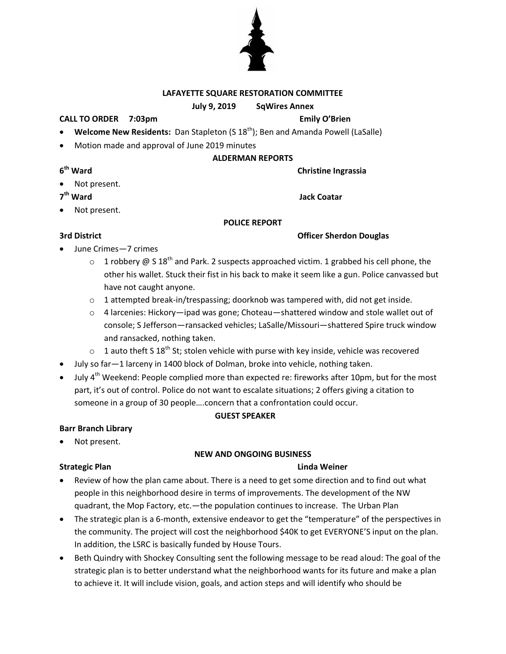## **LAFAYETTE SQUARE RESTORATION COMMITTEE**

## **July 9, 2019 SqWires Annex**

## **CALL TO ORDER 7:03pm Emily O'Brien**

- **Welcome New Residents:** Dan Stapleton (S 18<sup>th</sup>); Ben and Amanda Powell (LaSalle)
- Motion made and approval of June 2019 minutes

## **ALDERMAN REPORTS**

**Christine Ingrassia** 

Not present.

7<sup>th</sup> Ward

**6**

Not present.

## **POLICE REPORT**

**3rd District Community Community Community Community Community Community Community Community Community Community Community Community Community Community Community Community Community Community Community Community Communit** 

- June Crimes—7 crimes
	- $\circ$  1 robbery @ S 18<sup>th</sup> and Park. 2 suspects approached victim. 1 grabbed his cell phone, the other his wallet. Stuck their fist in his back to make it seem like a gun. Police canvassed but have not caught anyone.
	- $\circ$  1 attempted break-in/trespassing; doorknob was tampered with, did not get inside.
	- $\circ$  4 larcenies: Hickory—ipad was gone; Choteau—shattered window and stole wallet out of console; S Jefferson—ransacked vehicles; LaSalle/Missouri—shattered Spire truck window and ransacked, nothing taken.
	- $\circ$  1 auto theft S 18<sup>th</sup> St; stolen vehicle with purse with key inside, vehicle was recovered
- July so far—1 larceny in 1400 block of Dolman, broke into vehicle, nothing taken.
- July  $4<sup>th</sup>$  Weekend: People complied more than expected re: fireworks after 10pm, but for the most part, it's out of control. Police do not want to escalate situations; 2 offers giving a citation to someone in a group of 30 people….concern that a confrontation could occur.

## **GUEST SPEAKER**

## **Barr Branch Library**

Not present.

# **NEW AND ONGOING BUSINESS**

## **Strategic Plan Linda Weiner**

- Review of how the plan came about. There is a need to get some direction and to find out what people in this neighborhood desire in terms of improvements. The development of the NW quadrant, the Mop Factory, etc.—the population continues to increase. The Urban Plan
- The strategic plan is a 6-month, extensive endeavor to get the "temperature" of the perspectives in the community. The project will cost the neighborhood \$40K to get EVERYONE'S input on the plan. In addition, the LSRC is basically funded by House Tours.
- Beth Quindry with Shockey Consulting sent the following message to be read aloud: The goal of the strategic plan is to better understand what the neighborhood wants for its future and make a plan to achieve it. It will include vision, goals, and action steps and will identify who should be



**Jack Coatar**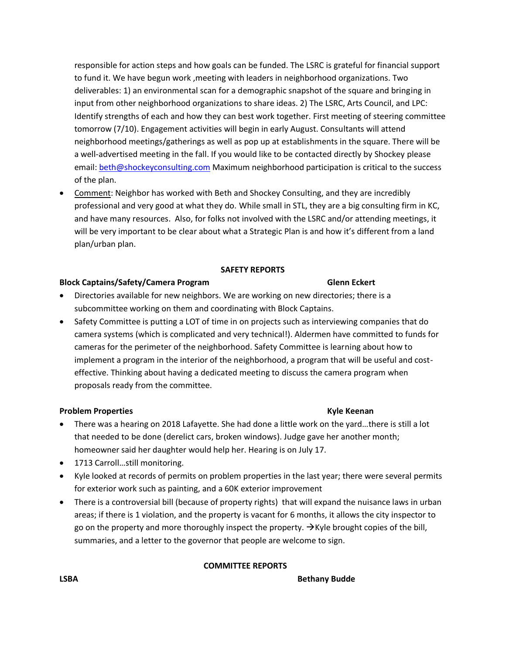responsible for action steps and how goals can be funded. The LSRC is grateful for financial support to fund it. We have begun work ,meeting with leaders in neighborhood organizations. Two deliverables: 1) an environmental scan for a demographic snapshot of the square and bringing in input from other neighborhood organizations to share ideas. 2) The LSRC, Arts Council, and LPC: Identify strengths of each and how they can best work together. First meeting of steering committee tomorrow (7/10). Engagement activities will begin in early August. Consultants will attend neighborhood meetings/gatherings as well as pop up at establishments in the square. There will be a well-advertised meeting in the fall. If you would like to be contacted directly by Shockey please email: [beth@shockeyconsulting.com](mailto:beth@shockeyconsulting.com) Maximum neighborhood participation is critical to the success of the plan.

 Comment: Neighbor has worked with Beth and Shockey Consulting, and they are incredibly professional and very good at what they do. While small in STL, they are a big consulting firm in KC, and have many resources. Also, for folks not involved with the LSRC and/or attending meetings, it will be very important to be clear about what a Strategic Plan is and how it's different from a land plan/urban plan.

## **SAFETY REPORTS**

## **Block Captains/Safety/Camera Program Glenn Eckert**

- Directories available for new neighbors. We are working on new directories; there is a subcommittee working on them and coordinating with Block Captains.
- Safety Committee is putting a LOT of time in on projects such as interviewing companies that do camera systems (which is complicated and very technical!). Aldermen have committed to funds for cameras for the perimeter of the neighborhood. Safety Committee is learning about how to implement a program in the interior of the neighborhood, a program that will be useful and costeffective. Thinking about having a dedicated meeting to discuss the camera program when proposals ready from the committee.

## **Problem Properties Kyle Keenan**

- There was a hearing on 2018 Lafayette. She had done a little work on the yard…there is still a lot that needed to be done (derelict cars, broken windows). Judge gave her another month; homeowner said her daughter would help her. Hearing is on July 17.
- 1713 Carroll...still monitoring.
- Kyle looked at records of permits on problem properties in the last year; there were several permits for exterior work such as painting, and a 60K exterior improvement
- There is a controversial bill (because of property rights) that will expand the nuisance laws in urban areas; if there is 1 violation, and the property is vacant for 6 months, it allows the city inspector to go on the property and more thoroughly inspect the property.  $\rightarrow$  Kyle brought copies of the bill, summaries, and a letter to the governor that people are welcome to sign.

### **COMMITTEE REPORTS**

**LSBA Bethany Budde**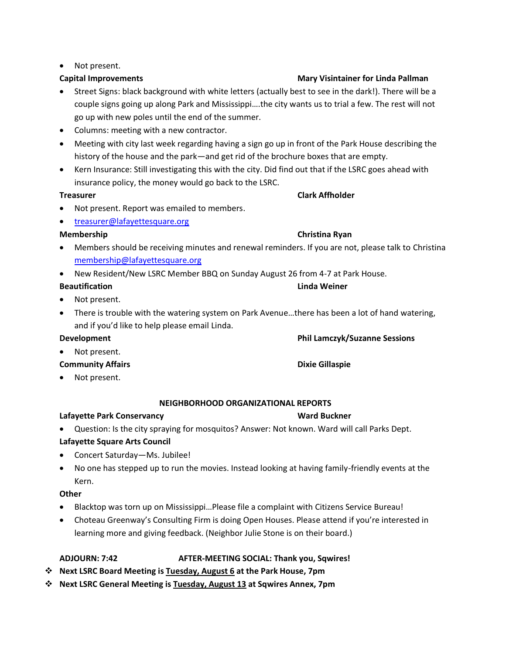## • Not present.

- Street Signs: black background with white letters (actually best to see in the dark!). There will be a couple signs going up along Park and Mississippi….the city wants us to trial a few. The rest will not go up with new poles until the end of the summer.
- Columns: meeting with a new contractor.
- Meeting with city last week regarding having a sign go up in front of the Park House describing the history of the house and the park—and get rid of the brochure boxes that are empty.
- Kern Insurance: Still investigating this with the city. Did find out that if the LSRC goes ahead with insurance policy, the money would go back to the LSRC.

## **Treasurer Clark Affholder**

- Not present. Report was emailed to members.
- [treasurer@lafayettesquare.org](mailto:treasurer@lafayettesquare.org)

- Members should be receiving minutes and renewal reminders. If you are not, please talk to Christina [membership@lafayettesquare.org](mailto:membership@lafayettesquare.org)
- New Resident/New LSRC Member BBQ on Sunday August 26 from 4-7 at Park House.

## **Beautification Linda Weiner**

- Not present.
- There is trouble with the watering system on Park Avenue…there has been a lot of hand watering, and if you'd like to help please email Linda.

## **Development Phil Lamczyk/Suzanne Sessions**

- Not present.
- **Community Affairs Access 2008 12:30 Community Affairs** Access 2008 2012 2013 2014
- Not present.

## **NEIGHBORHOOD ORGANIZATIONAL REPORTS**

## **Lafayette Park Conservancy Ward Buckner**

Question: Is the city spraying for mosquitos? Answer: Not known. Ward will call Parks Dept.

# **Lafayette Square Arts Council**

- Concert Saturday—Ms. Jubilee!
- No one has stepped up to run the movies. Instead looking at having family-friendly events at the Kern.

## **Other**

- Blacktop was torn up on Mississippi…Please file a complaint with Citizens Service Bureau!
- Choteau Greenway's Consulting Firm is doing Open Houses. Please attend if you're interested in learning more and giving feedback. (Neighbor Julie Stone is on their board.)

## **ADJOURN: 7:42 AFTER-MEETING SOCIAL: Thank you, Sqwires!**

- **Next LSRC Board Meeting is Tuesday, August 6 at the Park House, 7pm**
- **Next LSRC General Meeting is Tuesday, August 13 at Sqwires Annex, 7pm**

## **Capital Improvements Mary Visintainer for Linda Pallman**

# **Membership Christina Ryan**